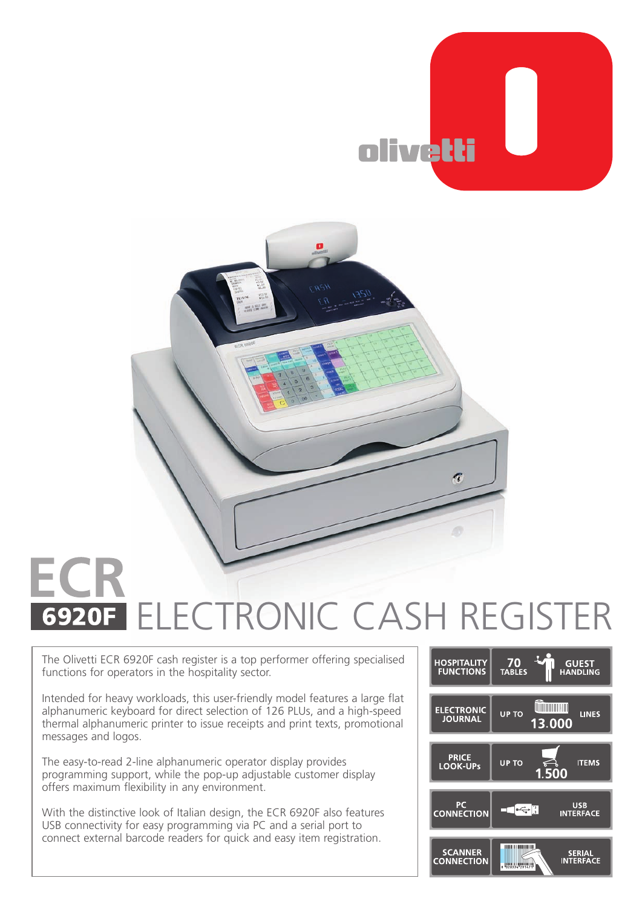



## **6920F ELECTRONIC CASH REGISTER**

The Olivetti ECR 6920F cash register is a top performer offering specialised functions for operators in the hospitality sector.

Intended for heavy workloads, this user-friendly model features a large flat alphanumeric keyboard for direct selection of 126 PLUs, and a high-speed thermal alphanumeric printer to issue receipts and print texts, promotional messages and logos.

The easy-to-read 2-line alphanumeric operator display provides programming support, while the pop-up adjustable customer display offers maximum flexibility in any environment.

With the distinctive look of Italian design, the ECR 6920F also features USB connectivity for easy programming via PC and a serial port to connect external barcode readers for quick and easy item registration.